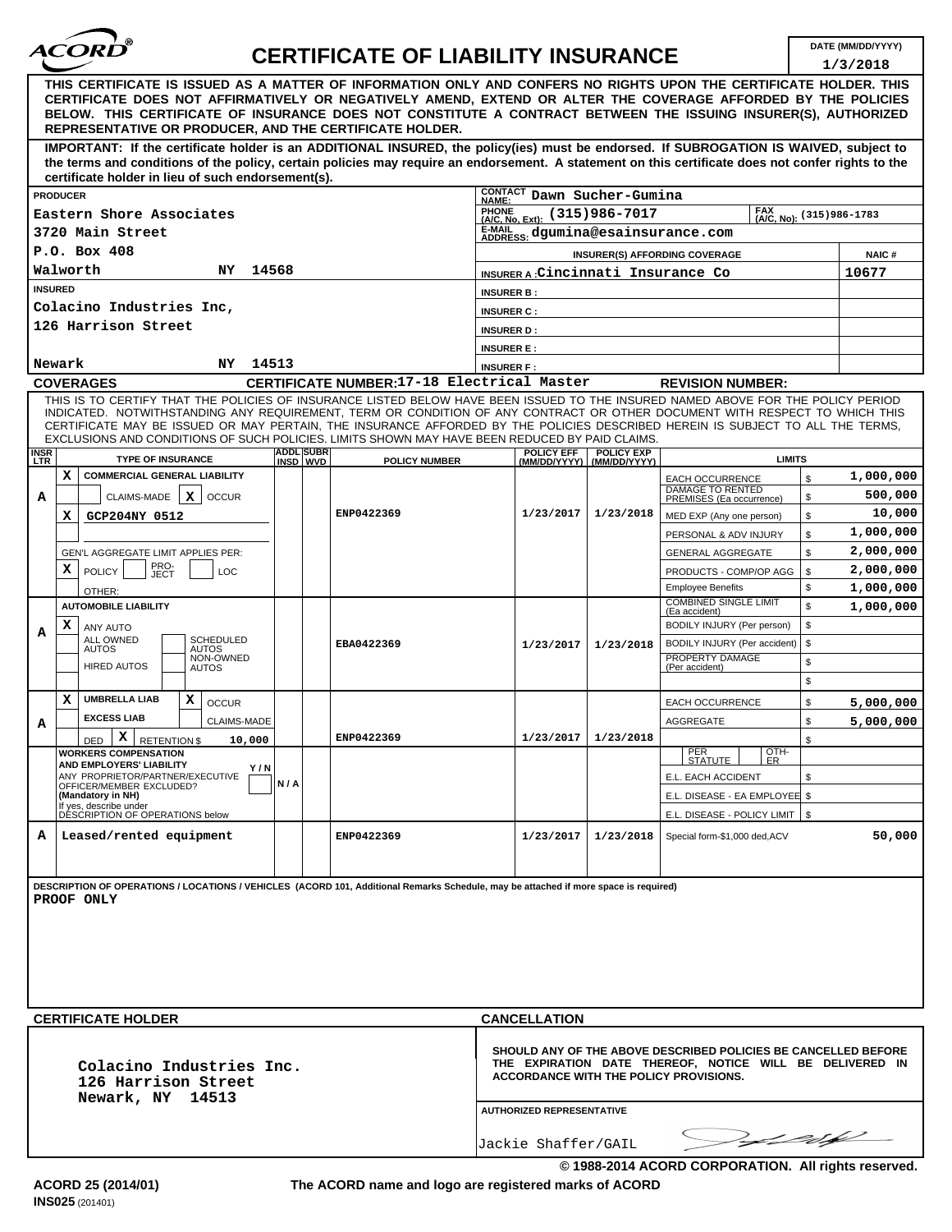

## **DATE (MM/DD/YYYY) CERTIFICATE OF LIABILITY INSURANCE**

|                                                                                                                                                                                                                                                                                                                                                                |                   |                                                                                                                                                                                                          |                                   |                                                     |          | 1/3/2018               |  |  |
|----------------------------------------------------------------------------------------------------------------------------------------------------------------------------------------------------------------------------------------------------------------------------------------------------------------------------------------------------------------|-------------------|----------------------------------------------------------------------------------------------------------------------------------------------------------------------------------------------------------|-----------------------------------|-----------------------------------------------------|----------|------------------------|--|--|
| THIS CERTIFICATE IS ISSUED AS A MATTER OF INFORMATION ONLY AND CONFERS NO RIGHTS UPON THE CERTIFICATE HOLDER. THIS<br>CERTIFICATE DOES NOT AFFIRMATIVELY OR NEGATIVELY AMEND, EXTEND OR ALTER THE COVERAGE AFFORDED BY THE POLICIES<br>BELOW. THIS CERTIFICATE OF INSURANCE DOES NOT CONSTITUTE A CONTRACT BETWEEN THE ISSUING INSURER(S), AUTHORIZED          |                   |                                                                                                                                                                                                          |                                   |                                                     |          |                        |  |  |
| <b>REPRESENTATIVE OR PRODUCER, AND THE CERTIFICATE HOLDER.</b><br>IMPORTANT: If the certificate holder is an ADDITIONAL INSURED, the policy(ies) must be endorsed. If SUBROGATION IS WAIVED, subject to                                                                                                                                                        |                   |                                                                                                                                                                                                          |                                   |                                                     |          |                        |  |  |
| the terms and conditions of the policy, certain policies may require an endorsement. A statement on this certificate does not confer rights to the<br>certificate holder in lieu of such endorsement(s).                                                                                                                                                       |                   |                                                                                                                                                                                                          |                                   |                                                     |          |                        |  |  |
| <b>PRODUCER</b>                                                                                                                                                                                                                                                                                                                                                | <b>CONTACT</b>    |                                                                                                                                                                                                          | Dawn Sucher-Gumina                |                                                     |          |                        |  |  |
| Eastern Shore Associates                                                                                                                                                                                                                                                                                                                                       | <b>PHONE</b>      | NAME:<br>$(315)986 - 7017$<br>(A/C, No): (315) 986-1783                                                                                                                                                  |                                   |                                                     |          |                        |  |  |
| 3720 Main Street                                                                                                                                                                                                                                                                                                                                               |                   | (A/C, No, Ext):<br>E-MAIL<br>ADDRESS: dgumina@esainsurance.com                                                                                                                                           |                                   |                                                     |          |                        |  |  |
| P.O. Box 408                                                                                                                                                                                                                                                                                                                                                   |                   | <b>INSURER(S) AFFORDING COVERAGE</b>                                                                                                                                                                     |                                   |                                                     |          |                        |  |  |
| Walworth<br>14568<br>NY.                                                                                                                                                                                                                                                                                                                                       |                   | INSURER A Cincinnati Insurance Co                                                                                                                                                                        |                                   |                                                     |          |                        |  |  |
| <b>INSURED</b>                                                                                                                                                                                                                                                                                                                                                 |                   | <b>INSURER B:</b>                                                                                                                                                                                        |                                   |                                                     |          |                        |  |  |
| Colacino Industries Inc,                                                                                                                                                                                                                                                                                                                                       |                   | <b>INSURER C:</b>                                                                                                                                                                                        |                                   |                                                     |          |                        |  |  |
| 126 Harrison Street                                                                                                                                                                                                                                                                                                                                            | <b>INSURER D:</b> |                                                                                                                                                                                                          |                                   |                                                     |          |                        |  |  |
| 14513                                                                                                                                                                                                                                                                                                                                                          | <b>INSURER E:</b> |                                                                                                                                                                                                          |                                   |                                                     |          |                        |  |  |
| <b>NY</b><br>Newark<br>CERTIFICATE NUMBER:17-18 Electrical Master<br><b>COVERAGES</b>                                                                                                                                                                                                                                                                          | <b>INSURER F:</b> |                                                                                                                                                                                                          |                                   | <b>REVISION NUMBER:</b>                             |          |                        |  |  |
| THIS IS TO CERTIFY THAT THE POLICIES OF INSURANCE LISTED BELOW HAVE BEEN ISSUED TO THE INSURED NAMED ABOVE FOR THE POLICY PERIOD                                                                                                                                                                                                                               |                   |                                                                                                                                                                                                          |                                   |                                                     |          |                        |  |  |
| INDICATED. NOTWITHSTANDING ANY REQUIREMENT, TERM OR CONDITION OF ANY CONTRACT OR OTHER DOCUMENT WITH RESPECT TO WHICH THIS<br>CERTIFICATE MAY BE ISSUED OR MAY PERTAIN, THE INSURANCE AFFORDED BY THE POLICIES DESCRIBED HEREIN IS SUBJECT TO ALL THE TERMS,<br>EXCLUSIONS AND CONDITIONS OF SUCH POLICIES. LIMITS SHOWN MAY HAVE BEEN REDUCED BY PAID CLAIMS. |                   |                                                                                                                                                                                                          |                                   |                                                     |          |                        |  |  |
| <b>ADDL SUBR</b><br><b>INSR</b><br>LTR<br><b>TYPE OF INSURANCE</b><br><b>POLICY NUMBER</b><br>INSD WVD                                                                                                                                                                                                                                                         |                   | POLICY EFF<br>(MM/DD/YYYY)                                                                                                                                                                               | <b>POLICY EXP</b><br>(MM/DD/YYYY) | <b>LIMITS</b>                                       |          |                        |  |  |
| x<br><b>COMMERCIAL GENERAL LIABILITY</b>                                                                                                                                                                                                                                                                                                                       |                   |                                                                                                                                                                                                          |                                   | <b>EACH OCCURRENCE</b>                              | \$       | 1,000,000              |  |  |
| CLAIMS-MADE<br>x<br>А<br><b>OCCUR</b>                                                                                                                                                                                                                                                                                                                          |                   |                                                                                                                                                                                                          |                                   | <b>DAMAGE TO RENTED</b><br>PREMISES (Ea occurrence) | \$       | 500,000                |  |  |
| ENP0422369<br>х<br>GCP204NY 0512                                                                                                                                                                                                                                                                                                                               |                   | 1/23/2017                                                                                                                                                                                                | 1/23/2018                         | MED EXP (Any one person)                            | \$       | 10,000                 |  |  |
|                                                                                                                                                                                                                                                                                                                                                                |                   |                                                                                                                                                                                                          |                                   | PERSONAL & ADV INJURY                               | \$       | 1,000,000              |  |  |
| GEN'L AGGREGATE LIMIT APPLIES PER:<br>PRO-<br>x                                                                                                                                                                                                                                                                                                                |                   |                                                                                                                                                                                                          |                                   | <b>GENERAL AGGREGATE</b>                            | \$       | 2,000,000<br>2,000,000 |  |  |
| <b>POLICY</b><br>LOC<br>JECT                                                                                                                                                                                                                                                                                                                                   |                   |                                                                                                                                                                                                          |                                   | PRODUCTS - COMP/OP AGG<br><b>Employee Benefits</b>  | \$<br>\$ | 1,000,000              |  |  |
| OTHER:<br><b>AUTOMOBILE LIABILITY</b>                                                                                                                                                                                                                                                                                                                          |                   |                                                                                                                                                                                                          |                                   | <b>COMBINED SINGLE LIMIT</b><br>(Ea accident)       | \$       | 1,000,000              |  |  |
| x<br>ANY AUTO<br>A                                                                                                                                                                                                                                                                                                                                             |                   |                                                                                                                                                                                                          |                                   | BODILY INJURY (Per person)                          | \$       |                        |  |  |
| ALL OWNED<br><b>SCHEDULED</b><br>EBA0422369<br><b>AUTOS</b><br><b>AUTOS</b>                                                                                                                                                                                                                                                                                    |                   | 1/23/2017                                                                                                                                                                                                | 1/23/2018                         | BODILY INJURY (Per accident)                        | \$       |                        |  |  |
| NON-OWNED<br><b>HIRED AUTOS</b><br><b>AUTOS</b>                                                                                                                                                                                                                                                                                                                |                   |                                                                                                                                                                                                          |                                   | PROPERTY DAMAGE<br>(Per accident)                   | \$       |                        |  |  |
|                                                                                                                                                                                                                                                                                                                                                                |                   |                                                                                                                                                                                                          |                                   |                                                     | \$       |                        |  |  |
| x<br><b>UMBRELLA LIAB</b><br>x<br><b>OCCUR</b>                                                                                                                                                                                                                                                                                                                 |                   |                                                                                                                                                                                                          |                                   | <b>EACH OCCURRENCE</b>                              | \$       | 5,000,000              |  |  |
| <b>EXCESS LIAB</b><br><b>CLAIMS-MADE</b><br>А                                                                                                                                                                                                                                                                                                                  |                   |                                                                                                                                                                                                          |                                   | AGGREGATE                                           | \$       | 5,000,000              |  |  |
| x<br>ENP0422369<br><b>RETENTION \$</b><br><b>DED</b><br>10,000<br><b>WORKERS COMPENSATION</b>                                                                                                                                                                                                                                                                  |                   | 1/23/2017                                                                                                                                                                                                | 1/23/2018                         | OTH-<br><b>PER</b>                                  | \$       |                        |  |  |
| AND EMPLOYERS' LIABILITY<br>Y/N<br>ANY PROPRIETOR/PARTNER/EXECUTIVE                                                                                                                                                                                                                                                                                            |                   |                                                                                                                                                                                                          |                                   | ISIAIUIE I LER<br>E.L. EACH ACCIDENT                | \$       |                        |  |  |
| N/A<br>OFFICER/MEMBER EXCLUDED?<br>(Mandatory in NH)                                                                                                                                                                                                                                                                                                           |                   |                                                                                                                                                                                                          |                                   | E.L. DISEASE - EA EMPLOYEE \$                       |          |                        |  |  |
| If yes, describe under<br>DÉSCRIPTION OF OPERATIONS below                                                                                                                                                                                                                                                                                                      |                   |                                                                                                                                                                                                          |                                   | E.L. DISEASE - POLICY LIMIT   \$                    |          |                        |  |  |
| A<br>Leased/rented equipment<br>ENP0422369                                                                                                                                                                                                                                                                                                                     |                   | 1/23/2017                                                                                                                                                                                                | 1/23/2018                         | Special form-\$1,000 ded, ACV                       |          | 50,000                 |  |  |
|                                                                                                                                                                                                                                                                                                                                                                |                   |                                                                                                                                                                                                          |                                   |                                                     |          |                        |  |  |
| DESCRIPTION OF OPERATIONS / LOCATIONS / VEHICLES (ACORD 101, Additional Remarks Schedule, may be attached if more space is required)<br>PROOF ONLY                                                                                                                                                                                                             |                   |                                                                                                                                                                                                          |                                   |                                                     |          |                        |  |  |
|                                                                                                                                                                                                                                                                                                                                                                |                   |                                                                                                                                                                                                          |                                   |                                                     |          |                        |  |  |
|                                                                                                                                                                                                                                                                                                                                                                |                   |                                                                                                                                                                                                          |                                   |                                                     |          |                        |  |  |
|                                                                                                                                                                                                                                                                                                                                                                |                   |                                                                                                                                                                                                          |                                   |                                                     |          |                        |  |  |
|                                                                                                                                                                                                                                                                                                                                                                |                   |                                                                                                                                                                                                          |                                   |                                                     |          |                        |  |  |
|                                                                                                                                                                                                                                                                                                                                                                |                   |                                                                                                                                                                                                          |                                   |                                                     |          |                        |  |  |
| <b>CERTIFICATE HOLDER</b>                                                                                                                                                                                                                                                                                                                                      |                   | <b>CANCELLATION</b>                                                                                                                                                                                      |                                   |                                                     |          |                        |  |  |
| Colacino Industries Inc.<br>126 Harrison Street<br>Newark, NY 14513                                                                                                                                                                                                                                                                                            |                   | SHOULD ANY OF THE ABOVE DESCRIBED POLICIES BE CANCELLED BEFORE<br>THE EXPIRATION DATE THEREOF, NOTICE WILL BE DELIVERED IN<br>ACCORDANCE WITH THE POLICY PROVISIONS.<br><b>AUTHORIZED REPRESENTATIVE</b> |                                   |                                                     |          |                        |  |  |
|                                                                                                                                                                                                                                                                                                                                                                |                   |                                                                                                                                                                                                          |                                   |                                                     |          |                        |  |  |
| Volde                                                                                                                                                                                                                                                                                                                                                          |                   |                                                                                                                                                                                                          |                                   |                                                     |          |                        |  |  |
|                                                                                                                                                                                                                                                                                                                                                                |                   | Jackie Shaffer/GAIL                                                                                                                                                                                      |                                   |                                                     |          |                        |  |  |

**The ACORD name and logo are registered marks of ACORD**

**© 1988-2014 ACORD CORPORATION. All rights reserved.**